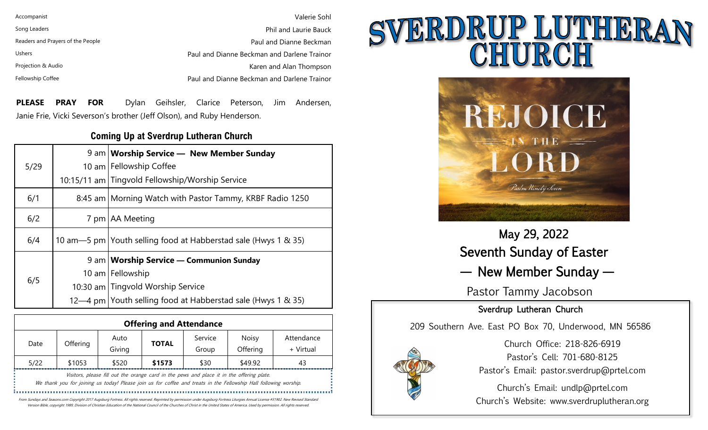| Accompanist                       | Valerie Sohl                                |
|-----------------------------------|---------------------------------------------|
| Song Leaders                      | <b>Phil and Laurie Bauck</b>                |
| Readers and Prayers of the People | Paul and Dianne Beckman                     |
| <b>Ushers</b>                     | Paul and Dianne Beckman and Darlene Trainor |
| Projection & Audio                | Karen and Alan Thompson                     |
| Fellowship Coffee                 | Paul and Dianne Beckman and Darlene Trainor |

**PLEASE PRAY FOR** Dylan Geihsler, Clarice Peterson, Jim Andersen, Janie Frie, Vicki Severson's brother (Jeff Olson), and Ruby Henderson.

#### **Coming Up at Sverdrup Lutheran Church**

| 5/29 | 9 am   Worship Service — New Member Sunday<br>10 am Fellowship Coffee<br>10:15/11 am Tingvold Fellowship/Worship Service |
|------|--------------------------------------------------------------------------------------------------------------------------|
| 6/1  | 8:45 am   Morning Watch with Pastor Tammy, KRBF Radio 1250                                                               |
| 6/2  | 7 pm   AA Meeting                                                                                                        |
| 6/4  | 10 am-5 pm   Youth selling food at Habberstad sale (Hwys 1 & 35)                                                         |
|      | 9 am   Worship Service — Communion Sunday                                                                                |
| 6/5  | 10 am Fellowship                                                                                                         |
|      | 10:30 am Tingvold Worship Service                                                                                        |
|      | 12—4 pm Youth selling food at Habberstad sale (Hwys 1 & 35)                                                              |

| <b>Offering and Attendance</b> |          |                                                                                           |              |                  |                                                                                                                   |                         |
|--------------------------------|----------|-------------------------------------------------------------------------------------------|--------------|------------------|-------------------------------------------------------------------------------------------------------------------|-------------------------|
| Date                           | Offering | Auto<br>Giving                                                                            | <b>TOTAL</b> | Service<br>Group | <b>Noisy</b><br>Offering                                                                                          | Attendance<br>+ Virtual |
| 5/22                           | \$1053   | \$520                                                                                     | \$1573       | \$30             | \$49.92                                                                                                           | 43                      |
|                                |          | Visitors, please fill out the orange card in the pews and place it in the offering plate. |              |                  | We thank you for joining us today! Please join us for coffee and treats in the Fellowship Hall following worship. |                         |

From Sundays and Seasons.com Copyright 2017 Augsburg Fortress. All rights reserved. Reprinted by permission under Augsburg Fortress Liturgies Annual License #31902. New Revised Standard Version Bible, copyright 1989, Division of Christian Education of the National Council of the Churches of Christ in the United States of America. Used by permission. All rights reserved.

# SVERDRUP LUTHERA



May 29, 2022 Seventh Sunday of Easter — New Member Sunday —

Pastor Tammy Jacobson

#### Sverdrup Lutheran Church

209 Southern Ave. East PO Box 70, Underwood, MN 56586



Church Office: 218-826-6919 Pastor's Cell: 701-680-8125 Pastor's Email: pastor.sverdrup@prtel.com

Church's Email: undlp@prtel.com Church's Website: www.sverdruplutheran.org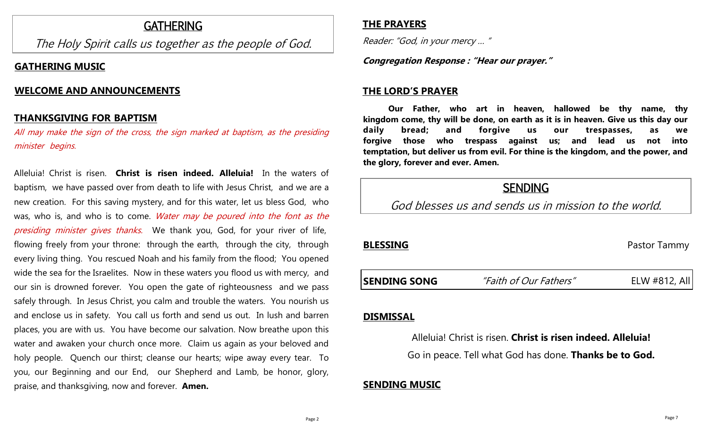#### GATHERING

The Holy Spirit calls us together as the people of God.

#### **GATHERING MUSIC**

#### **WELCOME AND ANNOUNCEMENTS**

#### **THANKSGIVING FOR BAPTISM ………………………………………………………**

All may make the sign of the cross, the sign marked at baptism, as the presiding minister begins.

Alleluia! Christ is risen. **Christ is risen indeed. Alleluia!** In the waters of baptism, we have passed over from death to life with Jesus Christ, and we are a new creation. For this saving mystery, and for this water, let us bless God, who was, who is, and who is to come. Water may be poured into the font as the presiding minister gives thanks. We thank you, God, for your river of life, flowing freely from your throne: through the earth, through the city, through every living thing. You rescued Noah and his family from the flood; You opened wide the sea for the Israelites. Now in these waters you flood us with mercy, and our sin is drowned forever. You open the gate of righteousness and we pass safely through. In Jesus Christ, you calm and trouble the waters. You nourish us and enclose us in safety. You call us forth and send us out. In lush and barren places, you are with us. You have become our salvation. Now breathe upon this water and awaken your church once more. Claim us again as your beloved and holy people. Quench our thirst; cleanse our hearts; wipe away every tear. To you, our Beginning and our End, our Shepherd and Lamb, be honor, glory, praise, and thanksgiving, now and forever. **Amen.**

#### **THE PRAYERS**

Reader: "God, in your mercy … "

**Congregation Response : "Hear our prayer."**

#### **THE LORD'S PRAYER**

**Our Father, who art in heaven, hallowed be thy name, thy kingdom come, thy will be done, on earth as it is in heaven. Give us this day our daily bread; and forgive us our trespasses, as we forgive those who trespass against us; and lead us not into temptation, but deliver us from evil. For thine is the kingdom, and the power, and the glory, forever and ever. Amen.**

### **SENDING**

God blesses us and sends us in mission to the world.

#### **BLESSING** Pastor Tammy

**SENDING SONG** *"Faith of Our Fathers"* ELW #812, All

## **DISMISSAL**

Alleluia! Christ is risen. **Christ is risen indeed. Alleluia!** Go in peace. Tell what God has done. **Thanks be to God.**

#### **SENDING MUSIC**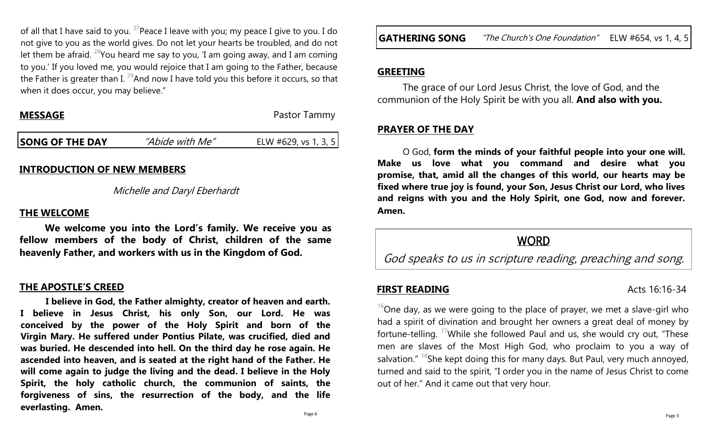of all that I have said to you. <sup>27</sup> Peace I leave with you; my peace I give to you. I do not give to you as the world gives. Do not let your hearts be troubled, and do not let them be afraid. <sup>28</sup>You heard me say to you, 'I am going away, and I am coming to you.' If you loved me, you would rejoice that I am going to the Father, because the Father is greater than I.  $^{29}$ And now I have told you this before it occurs, so that when it does occur, you may believe."

**Pastor Tammy** 

|  | <b>SONG OF THE DAY</b> | <i>"Abide with Me"</i> | ELW #629, vs 1, 3, 5 |
|--|------------------------|------------------------|----------------------|
|--|------------------------|------------------------|----------------------|

#### **INTRODUCTION OF NEW MEMBERS**

#### Michelle and Daryl Eberhardt

#### **THE WELCOME**

**We welcome you into the Lord's family. We receive you as fellow members of the body of Christ, children of the same heavenly Father, and workers with us in the Kingdom of God.**

#### **THE APOSTLE'S CREED**

**I believe in God, the Father almighty, creator of heaven and earth. I believe in Jesus Christ, his only Son, our Lord. He was conceived by the power of the Holy Spirit and born of the Virgin Mary. He suffered under Pontius Pilate, was crucified, died and was buried. He descended into hell. On the third day he rose again. He ascended into heaven, and is seated at the right hand of the Father. He will come again to judge the living and the dead. I believe in the Holy Spirit, the holy catholic church, the communion of saints, the forgiveness of sins, the resurrection of the body, and the life everlasting. Amen.**

#### **GREETING**

The grace of our Lord Jesus Christ, the love of God, and the communion of the Holy Spirit be with you all. **And also with you.**

#### **PRAYER OF THE DAY**

O God, **form the minds of your faithful people into your one will. Make us love what you command and desire what you promise, that, amid all the changes of this world, our hearts may be fixed where true joy is found, your Son, Jesus Christ our Lord, who lives and reigns with you and the Holy Spirit, one God, now and forever. Amen.**

#### **WORD**

God speaks to us in scripture reading, preaching and song.

#### **FIRST READING** Acts 16:16-34

 $16$ One day, as we were going to the place of prayer, we met a slave-girl who had a spirit of divination and brought her owners a great deal of money by fortune-telling. <sup>17</sup>While she followed Paul and us, she would cry out, "These men are slaves of the Most High God, who proclaim to you a way of salvation."  $18$ She kept doing this for many days. But Paul, very much annoyed, turned and said to the spirit, "I order you in the name of Jesus Christ to come out of her." And it came out that very hour.